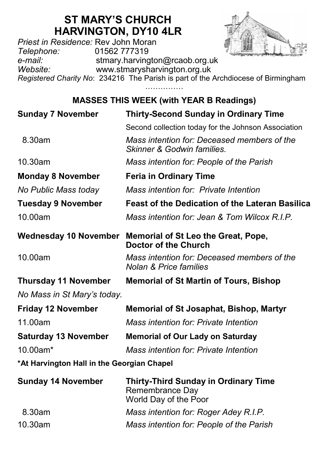# **ST MARY'S CHURCH HARVINGTON, DY10 4LR**

*Priest in Residence:* Rev John Moran *Telephone:* 01562 777319 *e-mail:* stmary.harvington@rcaob.org.uk *Website:* www.stmarysharvington.org.uk *Registered Charity No*: 234216 The Parish is part of the Archdiocese of Birmingham

……………

## **MASSES THIS WEEK (with YEAR B Readings)**

| <b>Sunday 7 November</b>                   | <b>Thirty-Second Sunday in Ordinary Time</b>                                            |
|--------------------------------------------|-----------------------------------------------------------------------------------------|
|                                            | Second collection today for the Johnson Association                                     |
| 8.30am                                     | Mass intention for: Deceased members of the<br>Skinner & Godwin families.               |
| 10.30am                                    | Mass intention for: People of the Parish                                                |
| <b>Monday 8 November</b>                   | <b>Feria in Ordinary Time</b>                                                           |
| No Public Mass today                       | Mass intention for: Private Intention                                                   |
| <b>Tuesday 9 November</b>                  | <b>Feast of the Dedication of the Lateran Basilica</b>                                  |
| 10.00am                                    | Mass intention for: Jean & Tom Wilcox R.I.P.                                            |
| Wednesday 10 November                      | Memorial of St Leo the Great, Pope,<br>Doctor of the Church                             |
| 10.00am                                    | Mass intention for: Deceased members of the<br><b>Nolan &amp; Price families</b>        |
| <b>Thursday 11 November</b>                | <b>Memorial of St Martin of Tours, Bishop</b>                                           |
| No Mass in St Mary's today.                |                                                                                         |
| <b>Friday 12 November</b>                  | <b>Memorial of St Josaphat, Bishop, Martyr</b>                                          |
| 11.00am                                    | Mass intention for: Private Intention                                                   |
| <b>Saturday 13 November</b>                | <b>Memorial of Our Lady on Saturday</b>                                                 |
| 10.00am*                                   | Mass intention for: Private Intention                                                   |
| *At Harvington Hall in the Georgian Chapel |                                                                                         |
| <b>Sunday 14 November</b>                  | <b>Thirty-Third Sunday in Ordinary Time</b><br>Remembrance Day<br>World Day of the Poor |
| 8.30am                                     | Mass intention for: Roger Adey R.I.P.                                                   |
| 10.30am                                    | Mass intention for: People of the Parish                                                |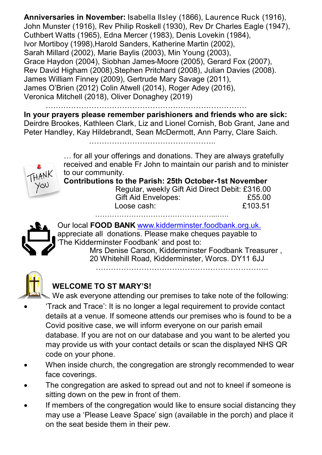**Anniversaries in November:** Isabella Ilsley (1866), Laurence Ruck (1916), John Munster (1916), Rev Philip Roskell (1930), Rev Dr Charles Eagle (1947), Cuthbert Watts (1965), Edna Mercer (1983), Denis Lovekin (1984), Ivor Mortiboy (1998),Harold Sanders, Katherine Martin (2002), Sarah Millard (2002), Marie Baylis (2003), Min Young (2003), Grace Haydon (2004), Siobhan James-Moore (2005), Gerard Fox (2007), Rev David Higham (2008),Stephen Pritchard (2008), Julian Davies (2008). James William Finney (2009), Gertrude Mary Savage (2011), James O'Brien (2012) Colin Atwell (2014), Roger Adey (2016), Veronica Mitchell (2018), Oliver Donaghey (2019)

…………………………………………………………………….

**In your prayers please remember parishioners and friends who are sick:**  Deirdre Brookes, Kathleen Clark, Liz and Lionel Cornish, Bob Grant, Jane and Peter Handley, Kay Hildebrandt, Sean McDermott, Ann Parry, Clare Saich.

…………………………………………..

YQU

… for all your offerings and donations. They are always gratefully received and enable Fr John to maintain our parish and to minister to our community.

**Contributions to the Parish: 25th October-1st November**

 Regular, weekly Gift Aid Direct Debit: £316.00 Gift Aid Envelopes: 655.00 Loose cash: £103.51 …………………………………………...…..

Our local **FOOD BANK** www.kidderminster.foodbank.org.uk. appreciate all donations. Please make cheques payable to 'The Kidderminster Foodbank' and post to: Mrs Denise Carson, Kidderminster Foodbank Treasurer , 20 Whitehill Road, Kidderminster, Worcs. DY11 6JJ



### **WELCOME TO ST MARY'S!**

We ask everyone attending our premises to take note of the following:

- 'Track and Trace': It is no longer a legal requirement to provide contact details at a venue. If someone attends our premises who is found to be a Covid positive case, we will inform everyone on our parish email database. If you are not on our database and you want to be alerted you may provide us with your contact details or scan the displayed NHS QR code on your phone.
- When inside church, the congregation are strongly recommended to wear face coverings.
- The congregation are asked to spread out and not to kneel if someone is sitting down on the pew in front of them.
- If members of the congregation would like to ensure social distancing they may use a 'Please Leave Space' sign (available in the porch) and place it on the seat beside them in their pew.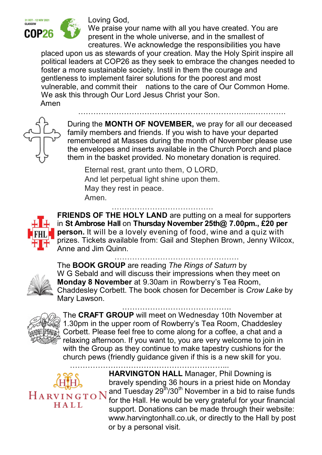

Loving God,

We praise your name with all you have created. You are present in the whole universe, and in the smallest of creatures. We acknowledge the responsibilities you have

placed upon us as stewards of your creation. May the Holy Spirit inspire all political leaders at COP26 as they seek to embrace the changes needed to foster a more sustainable society. Instil in them the courage and gentleness to implement fairer solutions for the poorest and most vulnerable, and commit their nations to the care of Our Common Home. We ask this through Our Lord Jesus Christ your Son. Amen

During the **MONTH OF NOVEMBER,** we pray for all our deceased family members and friends. If you wish to have your departed remembered at Masses during the month of November please use the envelopes and inserts available in the Church Porch and place them in the basket provided. No monetary donation is required.

…………………………………………………………...………….

Eternal rest, grant unto them, O LORD, And let perpetual light shine upon them. May they rest in peace. Amen.

## ………………………………….



**FRIENDS OF THE HOLY LAND** are putting on a meal for supporters in **St Ambrose Hall** on **Thursday November 25th@ 7.00pm., £20 per person.** It will be a lovely evening of food, wine and a quiz with prizes. Tickets available from: Gail and Stephen Brown, Jenny Wilcox, Anne and Jim Quinn.

………………………………………….



The **BOOK GROUP** are reading *The Rings of Saturn* by W G Sebald and will discuss their impressions when they meet on **Monday 8 November** at 9.30am in Rowberry's Tea Room, Chaddesley Corbett. The book chosen for December is *Crow Lake* by Mary Lawson.



……………………………………. The **CRAFT GROUP** will meet on Wednesday 10th November at 1.30pm in the upper room of Rowberry's Tea Room, Chaddesley Corbett. Please feel free to come along for a coffee, a chat and a relaxing afternoon. If you want to, you are very welcome to join in with the Group as they continue to make tapestry cushions for the church pews (friendly guidance given if this is a new skill for you.

……………………………………………………...

HALL.

**HARVINGTON HALL** Manager, Phil Downing is bravely spending 36 hours in a priest hide on Monday and Tuesday 29<sup>th</sup>/30<sup>th</sup> November in a bid to raise funds for the Hall. He would be very grateful for your financial support. Donations can be made through their website: www.harvingtonhall.co.uk, or directly to the Hall by post or by a personal visit.